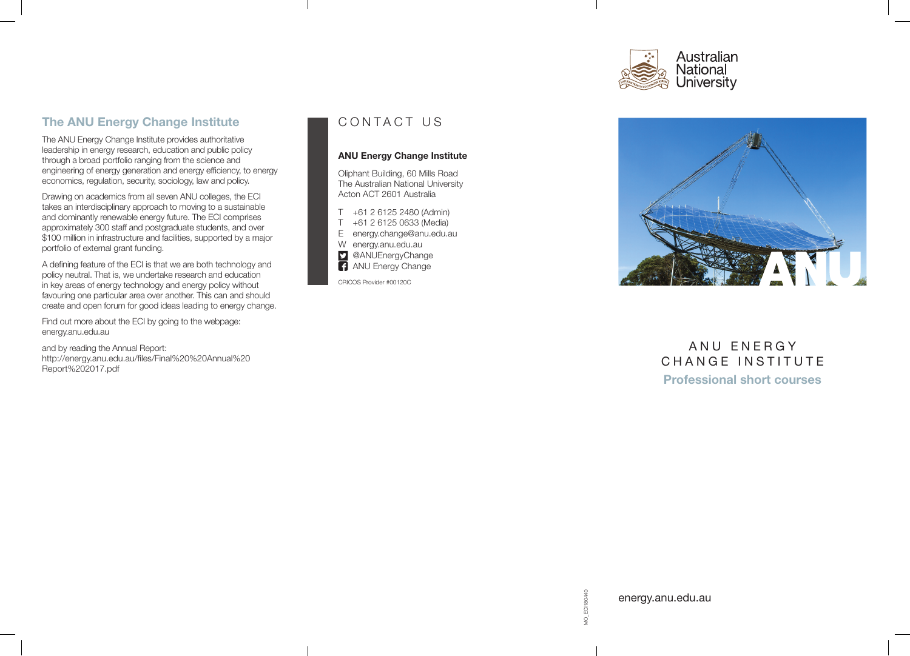# Australian National<br>University

# The ANU Energy Change Institute

The ANU Energy Change Institute provides authoritative leadership in energy research, education and public policy through a broad portfolio ranging from the science and engineering of energy generation and energy efficiency, to energy economics, regulation, security, sociology, law and policy.

Drawing on academics from all seven ANU colleges, the ECI takes an interdisciplinary approach to moving to a sustainable and dominantly renewable energy future. The ECI comprises approximately 300 staff and postgraduate students, and over \$100 million in infrastructure and facilities, supported by a major portfolio of external grant funding.

A defining feature of the ECI is that we are both technology and policy neutral. That is, we undertake research and education in key areas of energy technology and energy policy without favouring one particular area over another. This can and should create and open forum for good ideas leading to energy change.

Find out more about the ECI by going to the webpage: energy.anu.edu.au

and by reading the Annual Report: http://energy.anu.edu.au/files/Final%20%20Annual%20 Report%202017.pdf

# CONTACT US

#### ANU Energy Change Institute

Oliphant Building, 60 Mills Road The Australian National University Acton ACT 2601 Australia

T +61 2 6125 2480 (Admin) T +61 2 6125 0633 (Media) E energy.change@anu.edu.au W energy.anu.edu.au **D** @ANUEnergyChange **ANU Energy Change** 

CRICOS Provider #00120C



# ANU ENERGY CHANGE INSTITUTE Professional short courses

MO\_ECI180440 MO\_ECI180440